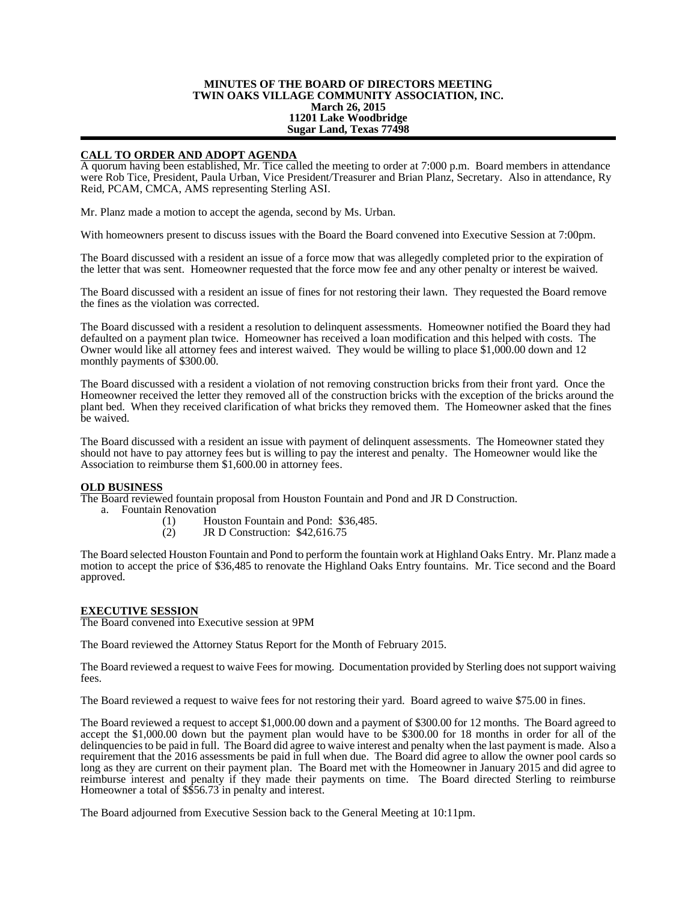## **MINUTES OF THE BOARD OF DIRECTORS MEETING TWIN OAKS VILLAGE COMMUNITY ASSOCIATION, INC. March 26, 2015 11201 Lake Woodbridge Sugar Land, Texas 77498**

## **CALL TO ORDER AND ADOPT AGENDA**

A quorum having been established, Mr. Tice called the meeting to order at 7:000 p.m. Board members in attendance were Rob Tice, President, Paula Urban, Vice President/Treasurer and Brian Planz, Secretary. Also in attendance, Ry Reid, PCAM, CMCA, AMS representing Sterling ASI.

Mr. Planz made a motion to accept the agenda, second by Ms. Urban.

With homeowners present to discuss issues with the Board the Board convened into Executive Session at 7:00pm.

The Board discussed with a resident an issue of a force mow that was allegedly completed prior to the expiration of the letter that was sent. Homeowner requested that the force mow fee and any other penalty or interest be waived.

The Board discussed with a resident an issue of fines for not restoring their lawn. They requested the Board remove the fines as the violation was corrected.

The Board discussed with a resident a resolution to delinquent assessments. Homeowner notified the Board they had defaulted on a payment plan twice. Homeowner has received a loan modification and this helped with costs. The Owner would like all attorney fees and interest waived. They would be willing to place \$1,000.00 down and 12 monthly payments of \$300.00.

The Board discussed with a resident a violation of not removing construction bricks from their front yard. Once the Homeowner received the letter they removed all of the construction bricks with the exception of the bricks around the plant bed. When they received clarification of what bricks they removed them. The Homeowner asked that the fines be waived.

The Board discussed with a resident an issue with payment of delinquent assessments. The Homeowner stated they should not have to pay attorney fees but is willing to pay the interest and penalty. The Homeowner would like the Association to reimburse them \$1,600.00 in attorney fees.

## **OLD BUSINESS**

The Board reviewed fountain proposal from Houston Fountain and Pond and JR D Construction.

- a. Fountain Renovation
	- (1) Houston Fountain and Pond: \$36,485.<br>(2) JR D Construction: \$42,616.75
		- (2) JR D Construction: \$42,616.75

The Board selected Houston Fountain and Pond to perform the fountain work at Highland Oaks Entry. Mr. Planz made a motion to accept the price of \$36,485 to renovate the Highland Oaks Entry fountains. Mr. Tice second and the Board approved.

## **EXECUTIVE SESSION**

The Board convened into Executive session at 9PM

The Board reviewed the Attorney Status Report for the Month of February 2015.

The Board reviewed a request to waive Fees for mowing. Documentation provided by Sterling does not support waiving fees.

The Board reviewed a request to waive fees for not restoring their yard. Board agreed to waive \$75.00 in fines.

The Board reviewed a request to accept \$1,000.00 down and a payment of \$300.00 for 12 months. The Board agreed to accept the \$1,000.00 down but the payment plan would have to be \$300.00 for 18 months in order for all of the delinquencies to be paid in full. The Board did agree to waive interest and penalty when the last payment is made. Also a requirement that the 2016 assessments be paid in full when due. The Board did agree to allow the owner pool cards so long as they are current on their payment plan. The Board met with the Homeowner in January 2015 and did agree to reimburse interest and penalty if they made their payments on time. The Board directed Sterling to reimburse Homeowner a total of \$\$56.73 in penalty and interest.

The Board adjourned from Executive Session back to the General Meeting at 10:11pm.